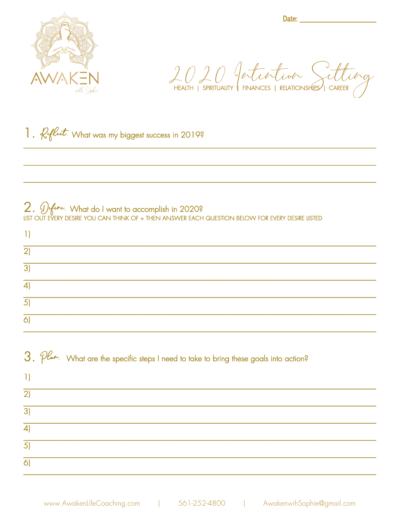

Date: and the state of the state of the state of the state of the state of the state of the state of the state

2020 Jestich Setting

1. *Reflect*. What was my biggest success in 2019?

## 2. Define. What do I want to accomplish in 2020?<br>LIST OUT EVERY DESIRE YOU CAN THINK OF + THEN ANSWER EACH QUESTION BELOW FOR EVERY DESIRE LISTED

| 1                                                                                                                                            |
|----------------------------------------------------------------------------------------------------------------------------------------------|
| $\overline{2}$                                                                                                                               |
| $\overline{3}$                                                                                                                               |
| $\overline{4}$                                                                                                                               |
| $\overline{5}$                                                                                                                               |
| $\overline{6}$                                                                                                                               |
|                                                                                                                                              |
| $3.$ $\mathcal{P}^{\mathcal{L}_{\mathit{a}}\mathit{b}}$ . What are the specific steps I need to take to bring these goals into action?<br>1) |
| $\overline{2}$                                                                                                                               |
| $\overline{3}$                                                                                                                               |
| $\overline{4}$                                                                                                                               |
| $\overline{5}$                                                                                                                               |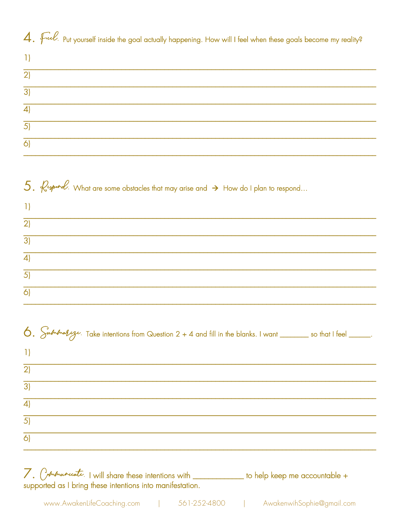4. Full put yourself inside the goal actually happening. How will I feel when these goals become my reality?

| $\left 2\right $ |  |  |  |
|------------------|--|--|--|
| 3)               |  |  |  |
| $\vert$          |  |  |  |
| 5)               |  |  |  |
| $\mathcal{L}'$   |  |  |  |

|                | 5. $\ell$ spord. What are some obstacles that may arise and $\rightarrow$ How do I plan to respond |
|----------------|----------------------------------------------------------------------------------------------------|
| $ 1\rangle$    |                                                                                                    |
| $\overline{2}$ |                                                                                                    |
| $\overline{3}$ |                                                                                                    |
| $\overline{4}$ |                                                                                                    |
| 5)             |                                                                                                    |
| $\overline{6}$ |                                                                                                    |

|                | 6. Submary $\frac{1}{2}$ . Take intentions from Question 2 + 4 and fill in the blanks. I want _______ so that I feel _____. |  |
|----------------|-----------------------------------------------------------------------------------------------------------------------------|--|
| $\vert$ 1)     |                                                                                                                             |  |
| $\overline{2}$ |                                                                                                                             |  |
| $\overline{3}$ |                                                                                                                             |  |
| $\overline{4}$ |                                                                                                                             |  |
| $\overline{5}$ |                                                                                                                             |  |
| $\vert$ 6)     |                                                                                                                             |  |
|                |                                                                                                                             |  |

7. Communicate. I will share these intentions with \_\_\_\_\_\_\_\_\_\_\_ to help keep me accountable + supported as I bring these intentions into manifestation.